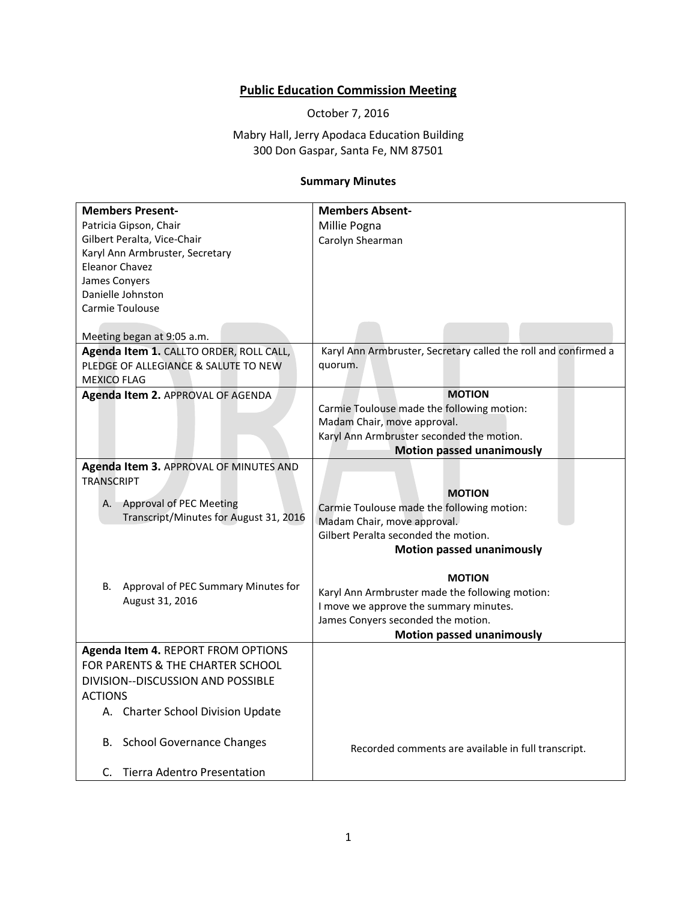## **Public Education Commission Meeting**

October 7, 2016

Mabry Hall, Jerry Apodaca Education Building 300 Don Gaspar, Santa Fe, NM 87501

## **Summary Minutes**

| Patricia Gipson, Chair<br>Millie Pogna                                                                     |  |
|------------------------------------------------------------------------------------------------------------|--|
|                                                                                                            |  |
| Gilbert Peralta, Vice-Chair<br>Carolyn Shearman                                                            |  |
| Karyl Ann Armbruster, Secretary                                                                            |  |
| <b>Eleanor Chavez</b>                                                                                      |  |
| James Conyers                                                                                              |  |
| Danielle Johnston                                                                                          |  |
| <b>Carmie Toulouse</b>                                                                                     |  |
|                                                                                                            |  |
| Meeting began at 9:05 a.m.                                                                                 |  |
| Karyl Ann Armbruster, Secretary called the roll and confirmed a<br>Agenda Item 1. CALLTO ORDER, ROLL CALL, |  |
| PLEDGE OF ALLEGIANCE & SALUTE TO NEW<br>quorum.                                                            |  |
| <b>MEXICO FLAG</b>                                                                                         |  |
| <b>MOTION</b><br>Agenda Item 2. APPROVAL OF AGENDA                                                         |  |
| Carmie Toulouse made the following motion:                                                                 |  |
| Madam Chair, move approval.                                                                                |  |
| Karyl Ann Armbruster seconded the motion.                                                                  |  |
| <b>Motion passed unanimously</b>                                                                           |  |
| Agenda Item 3. APPROVAL OF MINUTES AND                                                                     |  |
| <b>TRANSCRIPT</b>                                                                                          |  |
| <b>MOTION</b>                                                                                              |  |
| <b>Approval of PEC Meeting</b><br>А.<br>Carmie Toulouse made the following motion:                         |  |
| Transcript/Minutes for August 31, 2016<br>Madam Chair, move approval.                                      |  |
| Gilbert Peralta seconded the motion.                                                                       |  |
| <b>Motion passed unanimously</b>                                                                           |  |
| <b>MOTION</b>                                                                                              |  |
| Approval of PEC Summary Minutes for<br>В.<br>Karyl Ann Armbruster made the following motion:               |  |
| August 31, 2016<br>I move we approve the summary minutes.                                                  |  |
| James Conyers seconded the motion.                                                                         |  |
| <b>Motion passed unanimously</b>                                                                           |  |
| Agenda Item 4. REPORT FROM OPTIONS                                                                         |  |
| FOR PARENTS & THE CHARTER SCHOOL                                                                           |  |
| DIVISION--DISCUSSION AND POSSIBLE                                                                          |  |
|                                                                                                            |  |
| <b>ACTIONS</b>                                                                                             |  |
| A. Charter School Division Update                                                                          |  |
| <b>School Governance Changes</b><br>В.                                                                     |  |
| Recorded comments are available in full transcript.                                                        |  |
| C. Tierra Adentro Presentation                                                                             |  |